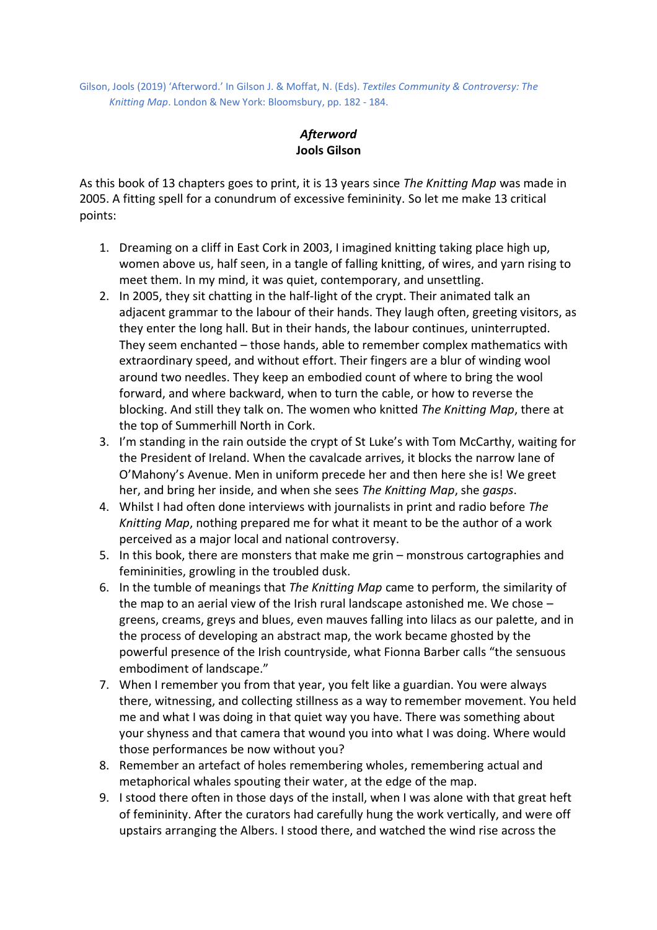Gilson, Jools (2019) 'Afterword.' In Gilson J. & Moffat, N. (Eds). *Textiles Community & Controversy: The Knitting Map*. London & New York: Bloomsbury, pp. 182 - 184.

## *Afterword* **Jools Gilson**

As this book of 13 chapters goes to print, it is 13 years since *The Knitting Map* was made in 2005. A fitting spell for a conundrum of excessive femininity. So let me make 13 critical points:

- 1. Dreaming on a cliff in East Cork in 2003, I imagined knitting taking place high up, women above us, half seen, in a tangle of falling knitting, of wires, and yarn rising to meet them. In my mind, it was quiet, contemporary, and unsettling.
- 2. In 2005, they sit chatting in the half-light of the crypt. Their animated talk an adjacent grammar to the labour of their hands. They laugh often, greeting visitors, as they enter the long hall. But in their hands, the labour continues, uninterrupted. They seem enchanted – those hands, able to remember complex mathematics with extraordinary speed, and without effort. Their fingers are a blur of winding wool around two needles. They keep an embodied count of where to bring the wool forward, and where backward, when to turn the cable, or how to reverse the blocking. And still they talk on. The women who knitted *The Knitting Map*, there at the top of Summerhill North in Cork.
- 3. I'm standing in the rain outside the crypt of St Luke's with Tom McCarthy, waiting for the President of Ireland. When the cavalcade arrives, it blocks the narrow lane of O'Mahony's Avenue. Men in uniform precede her and then here she is! We greet her, and bring her inside, and when she sees *The Knitting Map*, she *gasps*.
- 4. Whilst I had often done interviews with journalists in print and radio before *The Knitting Map*, nothing prepared me for what it meant to be the author of a work perceived as a major local and national controversy.
- 5. In this book, there are monsters that make me grin monstrous cartographies and femininities, growling in the troubled dusk.
- 6. In the tumble of meanings that *The Knitting Map* came to perform, the similarity of the map to an aerial view of the Irish rural landscape astonished me. We chose – greens, creams, greys and blues, even mauves falling into lilacs as our palette, and in the process of developing an abstract map, the work became ghosted by the powerful presence of the Irish countryside, what Fionna Barber calls "the sensuous embodiment of landscape."
- 7. When I remember you from that year, you felt like a guardian. You were always there, witnessing, and collecting stillness as a way to remember movement. You held me and what I was doing in that quiet way you have. There was something about your shyness and that camera that wound you into what I was doing. Where would those performances be now without you?
- 8. Remember an artefact of holes remembering wholes, remembering actual and metaphorical whales spouting their water, at the edge of the map.
- 9. I stood there often in those days of the install, when I was alone with that great heft of femininity. After the curators had carefully hung the work vertically, and were off upstairs arranging the Albers. I stood there, and watched the wind rise across the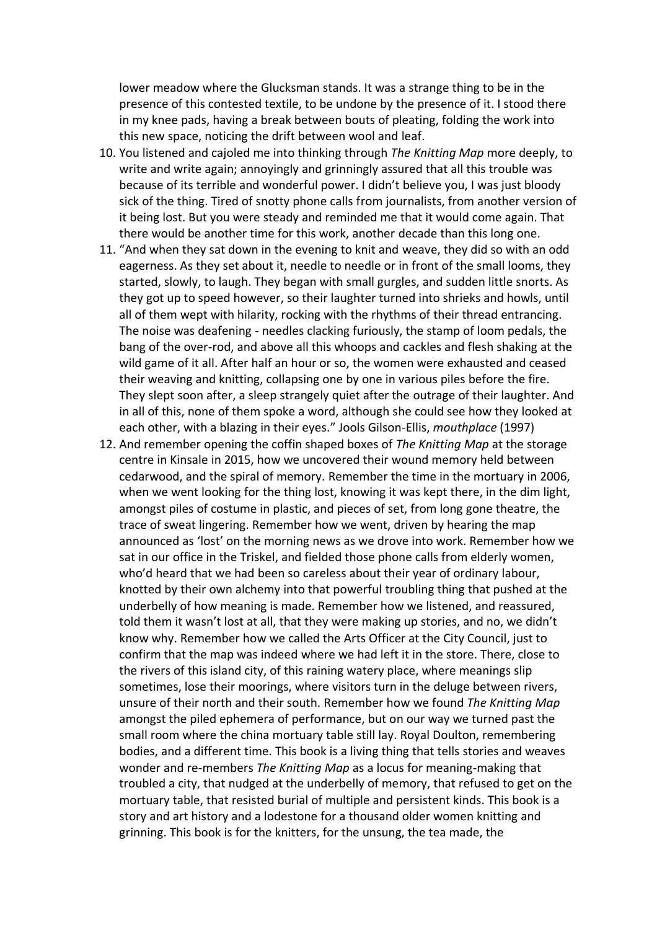lower meadow where the Glucksman stands. It was a strange thing to be in the presence of this contested textile, to be undone by the presence of it. I stood there in my knee pads, having a break between bouts of pleating, folding the work into this new space, noticing the drift between wool and leaf.

- 10. You listened and cajoled me into thinking through *The Knitting Map* more deeply, to write and write again; annoyingly and grinningly assured that all this trouble was because of its terrible and wonderful power. I didn't believe you, I was just bloody sick of the thing. Tired of snotty phone calls from journalists, from another version of it being lost. But you were steady and reminded me that it would come again. That there would be another time for this work, another decade than this long one.
- 11. "And when they sat down in the evening to knit and weave, they did so with an odd eagerness. As they set about it, needle to needle or in front of the small looms, they started, slowly, to laugh. They began with small gurgles, and sudden little snorts. As they got up to speed however, so their laughter turned into shrieks and howls, until all of them wept with hilarity, rocking with the rhythms of their thread entrancing. The noise was deafening - needles clacking furiously, the stamp of loom pedals, the bang of the over-rod, and above all this whoops and cackles and flesh shaking at the wild game of it all. After half an hour or so, the women were exhausted and ceased their weaving and knitting, collapsing one by one in various piles before the fire. They slept soon after, a sleep strangely quiet after the outrage of their laughter. And in all of this, none of them spoke a word, although she could see how they looked at each other, with a blazing in their eyes." Jools Gilson-Ellis, *mouthplace* (1997)
- 12. And remember opening the coffin shaped boxes of *The Knitting Map* at the storage centre in Kinsale in 2015, how we uncovered their wound memory held between cedarwood, and the spiral of memory. Remember the time in the mortuary in 2006, when we went looking for the thing lost, knowing it was kept there, in the dim light, amongst piles of costume in plastic, and pieces of set, from long gone theatre, the trace of sweat lingering. Remember how we went, driven by hearing the map announced as 'lost' on the morning news as we drove into work. Remember how we sat in our office in the Triskel, and fielded those phone calls from elderly women, who'd heard that we had been so careless about their year of ordinary labour, knotted by their own alchemy into that powerful troubling thing that pushed at the underbelly of how meaning is made. Remember how we listened, and reassured, told them it wasn't lost at all, that they were making up stories, and no, we didn't know why. Remember how we called the Arts Officer at the City Council, just to confirm that the map was indeed where we had left it in the store. There, close to the rivers of this island city, of this raining watery place, where meanings slip sometimes, lose their moorings, where visitors turn in the deluge between rivers, unsure of their north and their south. Remember how we found *The Knitting Map* amongst the piled ephemera of performance, but on our way we turned past the small room where the china mortuary table still lay. Royal Doulton, remembering bodies, and a different time. This book is a living thing that tells stories and weaves wonder and re-members *The Knitting Map* as a locus for meaning-making that troubled a city, that nudged at the underbelly of memory, that refused to get on the mortuary table, that resisted burial of multiple and persistent kinds. This book is a story and art history and a lodestone for a thousand older women knitting and grinning. This book is for the knitters, for the unsung, the tea made, the